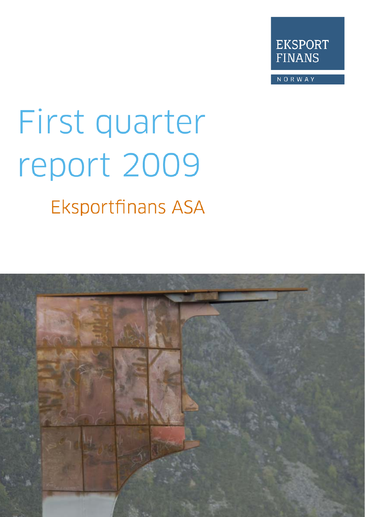

NORWAY

# First quarter report 2009 **Eksportfinans ASA**

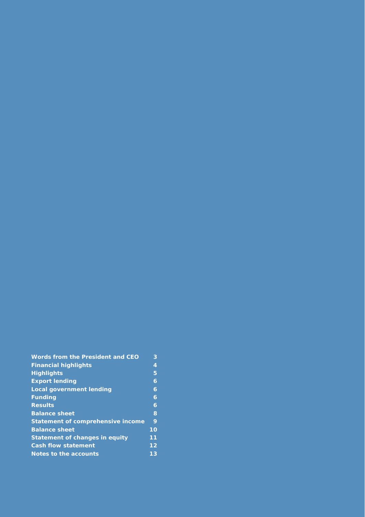| Words from the President and CEO         | 3  |
|------------------------------------------|----|
| <b>Financial highlights</b>              | 4  |
| <b>Highlights</b>                        | 5  |
| <b>Export lending</b>                    | 6  |
| <b>Local government lending</b>          | 6  |
| <b>Funding</b>                           | 6  |
| <b>Results</b>                           | 6  |
| <b>Balance sheet</b>                     | 8  |
| <b>Statement of comprehensive income</b> | 9  |
| <b>Balance sheet</b>                     | 10 |
| <b>Statement of changes in equity</b>    | 11 |
| <b>Cash flow statement</b>               | 12 |
| Notes to the accounts                    | 13 |
|                                          |    |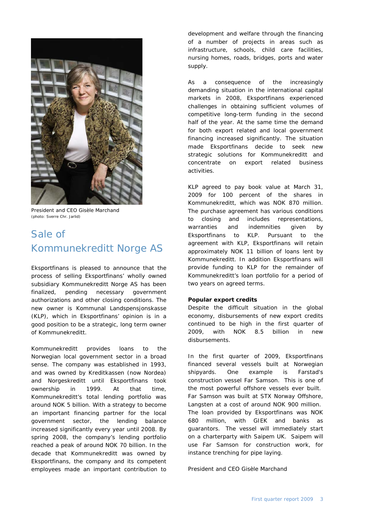

President and CEO Gisèle Marchand (photo: Sverre Chr. Jarlid)

# Sale of Kommunekreditt Norge AS

Eksportfinans is pleased to announce that the process of selling Eksportfinans' wholly owned subsidiary Kommunekreditt Norge AS has been finalized, pending necessary government authorizations and other closing conditions. The new owner is Kommunal Landspensjonskasse (KLP), which in Eksportfinans' opinion is in a good position to be a strategic, long term owner of Kommunekreditt.

Kommunekreditt provides loans to the Norwegian local government sector in a broad sense. The company was established in 1993, and was owned by Kreditkassen (now Nordea) and Norgeskreditt until Eksportfinans took ownership in 1999. At that time, Kommunekreditt's total lending portfolio was around NOK 5 billion. With a strategy to become an important financing partner for the local government sector, the lending balance increased significantly every year until 2008. By spring 2008, the company's lending portfolio reached a peak of around NOK 70 billion. In the decade that Kommunekreditt was owned by Eksportfinans, the company and its competent employees made an important contribution to

development and welfare through the financing of a number of projects in areas such as infrastructure, schools, child care facilities, nursing homes, roads, bridges, ports and water supply.

As a consequence of the increasingly demanding situation in the international capital markets in 2008, Eksportfinans experienced challenges in obtaining sufficient volumes of competitive long-term funding in the second half of the year. At the same time the demand for both export related and local government financing increased significantly. The situation made Eksportfinans decide to seek new strategic solutions for Kommunekreditt and concentrate on export related business activities.

KLP agreed to pay book value at March 31, 2009 for 100 percent of the shares in Kommunekreditt, which was NOK 870 million. The purchase agreement has various conditions to closing and includes representations, warranties and indemnities given by Eksportfinans to KLP. Pursuant to the agreement with KLP, Eksportfinans will retain approximately NOK 11 billion of loans lent by Kommunekreditt. In addition Eksportfinans will provide funding to KLP for the remainder of Kommunekreditt's loan portfolio for a period of two years on agreed terms.

#### **Popular export credits**

Despite the difficult situation in the global economy, disbursements of new export credits continued to be high in the first quarter of 2009, with NOK 8.5 billion in new disbursements.

In the first quarter of 2009, Eksportfinans financed several vessels built at Norwegian shipyards. One example is Farstad's construction vessel Far Samson. This is one of the most powerful offshore vessels ever built. Far Samson was built at STX Norway Offshore, Langsten at a cost of around NOK 900 million. The loan provided by Eksportfinans was NOK 680 million, with GIEK and banks as guarantors. The vessel will immediately start on a charterparty with Saipem UK. Saipem will use Far Samson for construction work, for instance trenching for pipe laying.

President and CEO Gisèle Marchand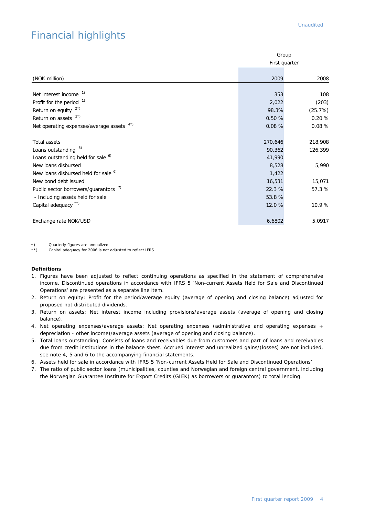# Financial highlights

|                                                  |         | Group         |  |  |
|--------------------------------------------------|---------|---------------|--|--|
|                                                  |         | First quarter |  |  |
| (NOK million)                                    | 2009    | 2008          |  |  |
| Net interest income <sup>1)</sup>                | 353     | 108           |  |  |
| Profit for the period $1$                        | 2,022   | (203)         |  |  |
| Return on equity $2^x$ )                         | 98.3%   | (25.7%)       |  |  |
| Return on assets $3^*$ )                         | 0.50%   | 0.20%         |  |  |
| Net operating expenses/average assets 4*)        | 0.08%   | 0.08%         |  |  |
| Total assets                                     | 270,646 | 218,908       |  |  |
| Loans outstanding 5)                             | 90,362  | 126,399       |  |  |
| Loans outstanding held for sale <sup>6)</sup>    | 41,990  |               |  |  |
| New loans disbursed                              | 8,528   | 5,990         |  |  |
| New loans disbursed held for sale <sup>6)</sup>  | 1,422   |               |  |  |
| New bond debt issued                             | 16,531  | 15,071        |  |  |
| Public sector borrowers/guarantors <sup>7)</sup> | 22.3%   | 57.3%         |  |  |
| - Including assets held for sale                 | 53.8%   |               |  |  |
| Capital adequacy **)                             | 12.0%   | 10.9%         |  |  |
| Exchange rate NOK/USD                            | 6.6802  | 5.0917        |  |  |

\*) Quarterly figures are annualized<br>\*\*) Capital adequacy for 2006 is not

Capital adequacy for 2006 is not adjusted to reflect IFRS

#### **Definitions**

- 1. Figures have been adjusted to reflect continuing operations as specified in the statement of comprehensive income. Discontinued operations in accordance with IFRS 5 'Non-current Assets Held for Sale and Discontinued Operations' are presented as a separate line item.
- 2. Return on equity: Profit for the period/average equity (average of opening and closing balance) adjusted for proposed not distributed dividends.
- 3. Return on assets: Net interest income including provisions/average assets (average of opening and closing balance).
- 4. Net operating expenses/average assets: Net operating expenses (administrative and operating expenses + depreciation - other income)/average assets (average of opening and closing balance).
- 5. Total loans outstanding: Consists of loans and receivables due from customers and part of loans and receivables due from credit institutions in the balance sheet. Accrued interest and unrealized gains/(losses) are not included, see note 4, 5 and 6 to the accompanying financial statements.
- 6. Assets held for sale in accordance with IFRS 5 'Non-current Assets Held for Sale and Discontinued Operations'
- 7. The ratio of public sector loans (municipalities, counties and Norwegian and foreign central government, including the Norwegian Guarantee Institute for Export Credits (GIEK) as borrowers or guarantors) to total lending.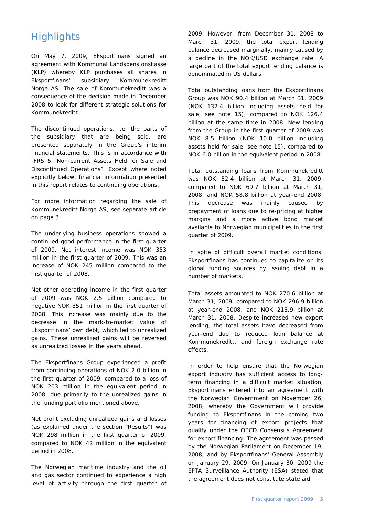# **Highlights**

On May 7, 2009, Eksportfinans signed an agreement with Kommunal Landspensjonskasse (KLP) whereby KLP purchases all shares in Eksportfinans' subsidiary Kommunekreditt Norge AS. The sale of Kommunekreditt was a consequence of the decision made in December 2008 to look for different strategic solutions for Kommunekreditt.

The discontinued operations, i.e. the parts of the subsidiary that are being sold, are presented separately in the Group's interim financial statements. This is in accordance with IFRS 5 "Non-current Assets Held for Sale and Discontinued Operations". Except where noted explicitly below, financial information presented in this report relates to continuing operations.

For more information regarding the sale of Kommunekreditt Norge AS, see separate article on page 3.

The underlying business operations showed a continued good performance in the first quarter of 2009. Net interest income was NOK 353 million in the first quarter of 2009. This was an increase of NOK 245 million compared to the first quarter of 2008.

Net other operating income in the first quarter of 2009 was NOK 2.5 billion compared to negative NOK 351 million in the first quarter of 2008. This increase was mainly due to the decrease in the mark-to-market value of Eksportfinans' own debt, which led to unrealized gains. These unrealized gains will be reversed as unrealized losses in the years ahead.

The Eksportfinans Group experienced a profit from continuing operations of NOK 2.0 billion in the first quarter of 2009, compared to a loss of NOK 203 million in the equivalent period in 2008, due primarily to the unrealized gains in the funding portfolio mentioned above.

Net profit excluding unrealized gains and losses (as explained under the section "Results") was NOK 298 million in the first quarter of 2009, compared to NOK 42 million in the equivalent period in 2008.

The Norwegian maritime industry and the oil and gas sector continued to experience a high level of activity through the first quarter of

2009. However, from December 31, 2008 to March 31, 2009, the total export lending balance decreased marginally, mainly caused by a decline in the NOK/USD exchange rate. A large part of the total export lending balance is denominated in US dollars.

Total outstanding loans from the Eksportfinans Group was NOK 90.4 billion at March 31, 2009 (NOK 132.4 billion including assets held for sale, see note 15), compared to NOK 126.4 billion at the same time in 2008. New lending from the Group in the first quarter of 2009 was NOK 8.5 billion (NOK 10.0 billion including assets held for sale, see note 15), compared to NOK 6.0 billion in the equivalent period in 2008.

Total outstanding loans from Kommunekreditt was NOK 52.4 billion at March 31, 2009, compared to NOK 69.7 billion at March 31, 2008, and NOK 58.8 billion at year-end 2008. This decrease was mainly caused by prepayment of loans due to re-pricing at higher margins and a more active bond market available to Norwegian municipalities in the first quarter of 2009.

In spite of difficult overall market conditions, Eksportfinans has continued to capitalize on its global funding sources by issuing debt in a number of markets.

Total assets amounted to NOK 270.6 billion at March 31, 2009, compared to NOK 296.9 billion at year-end 2008, and NOK 218.9 billion at March 31, 2008. Despite increased new export lending, the total assets have decreased from year-end due to reduced loan balance at Kommunekreditt, and foreign exchange rate effects.

In order to help ensure that the Norwegian export industry has sufficient access to longterm financing in a difficult market situation, Eksportfinans entered into an agreement with the Norwegian Government on November 26, 2008, whereby the Government will provide funding to Eksportfinans in the coming two years for financing of export projects that qualify under the OECD Consensus Agreement for export financing. The agreement was passed by the Norwegian Parliament on December 19, 2008, and by Eksportfinans' General Assembly on January 29, 2009. On January 30, 2009 the EFTA Surveillance Authority (ESA) stated that the agreement does not constitute state aid.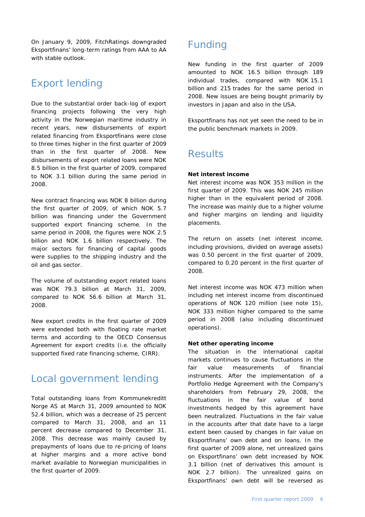On January 9, 2009, FitchRatings downgraded Eksportfinans' long-term ratings from AAA to AA with stable outlook.

# Export lending

Due to the substantial order back-log of export financing projects following the very high activity in the Norwegian maritime industry in recent years, new disbursements of export related financing from Eksportfinans were close to three times higher in the first quarter of 2009 than in the first quarter of 2008. New disbursements of export related loans were NOK 8.5 billion in the first quarter of 2009, compared to NOK 3.1 billion during the same period in 2008.

New contract financing was NOK 8 billion during the first quarter of 2009, of which NOK 5.7 billion was financing under the Government supported export financing scheme. In the same period in 2008, the figures were NOK 2.5 billion and NOK 1.6 billion respectively. The major sectors for financing of capital goods were supplies to the shipping industry and the oil and gas sector.

The volume of outstanding export related loans was NOK 79.3 billion at March 31, 2009, compared to NOK 56.6 billion at March 31, 2008.

New export credits in the first quarter of 2009 were extended both with floating rate market terms and according to the OECD Consensus Agreement for export credits (i.e. the officially supported fixed rate financing scheme, CIRR).

## Local government lending

Total outstanding loans from Kommunekreditt Norge AS at March 31, 2009 amounted to NOK 52.4 billion, which was a decrease of 25 percent compared to March 31, 2008, and an 11 percent decrease compared to December 31, 2008. This decrease was mainly caused by prepayments of loans due to re-pricing of loans at higher margins and a more active bond market available to Norwegian municipalities in the first quarter of 2009.

# Funding

New funding in the first quarter of 2009 amounted to NOK 16.5 billion through 189 individual trades, compared with NOK 15.1 billion and 215 trades for the same period in 2008. New issues are being bought primarily by investors in Japan and also in the USA.

Eksportfinans has not yet seen the need to be in the public benchmark markets in 2009.

## **Results**

#### **Net interest income**

Net interest income was NOK 353 million in the first quarter of 2009. This was NOK 245 million higher than in the equivalent period of 2008. The increase was mainly due to a higher volume and higher margins on lending and liquidity placements.

The return on assets (net interest income, including provisions, divided on average assets) was 0.50 percent in the first quarter of 2009, compared to 0.20 percent in the first quarter of 2008.

Net interest income was NOK 473 million when including net interest income from discontinued operations of NOK 120 million (see note 15), NOK 333 million higher compared to the same period in 2008 (also including discontinued operations).

#### **Net other operating income**

The situation in the international capital markets continues to cause fluctuations in the fair value measurements of financial instruments. After the implementation of a Portfolio Hedge Agreement with the Company's shareholders from February 29, 2008, the fluctuations in the fair value of bond investments hedged by this agreement have been neutralized. Fluctuations in the fair value in the accounts after that date have to a large extent been caused by changes in fair value on Eksportfinans' own debt and on loans. In the first quarter of 2009 alone, net unrealized gains on Eksportfinans' own debt increased by NOK 3.1 billion (net of derivatives this amount is NOK 2.7 billion). The unrealized gains on Eksportfinans' own debt will be reversed as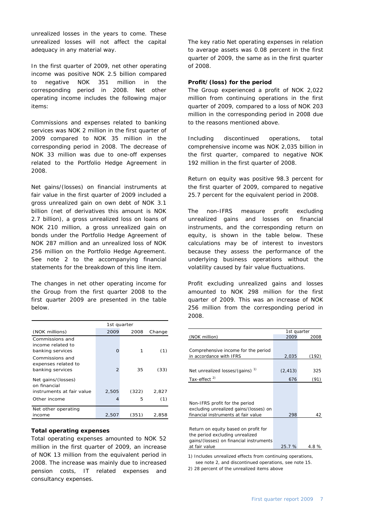unrealized losses in the years to come. These unrealized losses will not affect the capital adequacy in any material way.

In the first quarter of 2009, net other operating income was positive NOK 2.5 billion compared to negative NOK 351 million in the corresponding period in 2008. Net other operating income includes the following major items:

Commissions and expenses related to banking services was NOK 2 million in the first quarter of 2009 compared to NOK 35 million in the corresponding period in 2008. The decrease of NOK 33 million was due to one-off expenses related to the Portfolio Hedge Agreement in 2008.

Net gains/(losses) on financial instruments at fair value in the first quarter of 2009 included a gross unrealized gain on own debt of NOK 3.1 billion (net of derivatives this amount is NOK 2.7 billion), a gross unrealized loss on loans of NOK 210 million, a gross unrealized gain on bonds under the Portfolio Hedge Agreement of NOK 287 million and an unrealized loss of NOK 256 million on the Portfolio Hedge Agreement. See note 2 to the accompanying financial statements for the breakdown of this line item.

The changes in net other operating income for the Group from the first quarter 2008 to the first quarter 2009 are presented in the table below.

|                                                                                 | 1st quarter    |            |              |  |  |  |
|---------------------------------------------------------------------------------|----------------|------------|--------------|--|--|--|
| (NOK millions)                                                                  | 2009           | 2008       | Change       |  |  |  |
| Commissions and<br>income related to<br>banking services                        | ∩              |            | (1)          |  |  |  |
| Commissions and<br>expenses related to<br>banking services                      | $\overline{2}$ | 35         | (33)         |  |  |  |
| Net gains/(losses)<br>on financial<br>instruments at fair value<br>Other income | 2,505<br>4     | (322)<br>5 | 2,827<br>(1) |  |  |  |
|                                                                                 |                |            |              |  |  |  |
| Net other operating<br>income                                                   | 2,507          | (351)      | 2.858        |  |  |  |

#### **Total operating expenses**

Total operating expenses amounted to NOK 52 million in the first quarter of 2009, an increase of NOK 13 million from the equivalent period in 2008. The increase was mainly due to increased pension costs, IT related expenses and consultancy expenses.

The key ratio Net operating expenses in relation to average assets was 0.08 percent in the first quarter of 2009, the same as in the first quarter of 2008.

#### **Profit/(loss) for the period**

The Group experienced a profit of NOK 2,022 million from continuing operations in the first quarter of 2009, compared to a loss of NOK 203 million in the corresponding period in 2008 due to the reasons mentioned above.

Including discontinued operations, total comprehensive income was NOK 2,035 billion in the first quarter, compared to negative NOK 192 million in the first quarter of 2008.

Return on equity was positive 98.3 percent for the first quarter of 2009, compared to negative 25.7 percent for the equivalent period in 2008.

The non-IFRS measure profit excluding unrealized gains and losses on financial instruments, and the corresponding return on equity, is shown in the table below. These calculations may be of interest to investors because they assess the performance of the underlying business operations without the volatility caused by fair value fluctuations.

Profit excluding unrealized gains and losses amounted to NOK 298 million for the first quarter of 2009. This was an increase of NOK 256 million from the corresponding period in 2008.

|                                             | 1st quarter |       |
|---------------------------------------------|-------------|-------|
| (NOK million)                               | 2009        | 2008  |
|                                             |             |       |
| Comprehensive income for the period         |             |       |
| in accordance with IFRS                     | 2,035       | (192) |
|                                             |             |       |
|                                             |             |       |
| Net unrealized losses/(gains) <sup>1)</sup> | (2, 413)    | 325   |
| Tax-effect <sup>2)</sup>                    | 676         | (91)  |
|                                             |             |       |
|                                             |             |       |
|                                             |             |       |
| Non-IFRS profit for the period              |             |       |
| excluding unrealized gains/(losses) on      |             |       |
| financial instruments at fair value         | 298         | 42    |
|                                             |             |       |
|                                             |             |       |
| Return on equity based on profit for        |             |       |
| the period excluding unrealized             |             |       |
| gains/(losses) on financial instruments     |             |       |
| at fair value                               | 25.7 %      | 4.8 % |
|                                             |             |       |

1) Includes unrealized effects from continuing operations, see note 2, and discontinued operations, see note 15.

2) 28 percent of the unrealized items above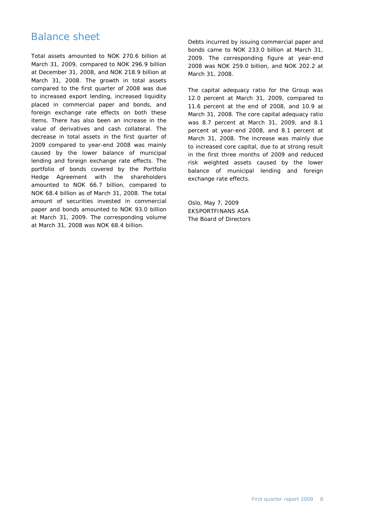## Balance sheet

Total assets amounted to NOK 270.6 billion at March 31, 2009, compared to NOK 296.9 billion at December 31, 2008, and NOK 218.9 billion at March 31, 2008. The growth in total assets compared to the first quarter of 2008 was due to increased export lending, increased liquidity placed in commercial paper and bonds, and foreign exchange rate effects on both these items. There has also been an increase in the value of derivatives and cash collateral. The decrease in total assets in the first quarter of 2009 compared to year-end 2008 was mainly caused by the lower balance of municipal lending and foreign exchange rate effects. The portfolio of bonds covered by the Portfolio Hedge Agreement with the shareholders amounted to NOK 66.7 billion, compared to NOK 68.4 billion as of March 31, 2008. The total amount of securities invested in commercial paper and bonds amounted to NOK 93.0 billion at March 31, 2009. The corresponding volume at March 31, 2008 was NOK 68.4 billion.

Debts incurred by issuing commercial paper and bonds came to NOK 233.0 billion at March 31, 2009. The corresponding figure at year-end 2008 was NOK 259.0 billion, and NOK 202.2 at March 31, 2008.

The capital adequacy ratio for the Group was 12.0 percent at March 31, 2009, compared to 11.6 percent at the end of 2008, and 10.9 at March 31, 2008. The core capital adequacy ratio was 8.7 percent at March 31, 2009, and 8.1 percent at year-end 2008, and 8.1 percent at March 31, 2008. The increase was mainly due to increased core capital, due to at strong result in the first three months of 2009 and reduced risk weighted assets caused by the lower balance of municipal lending and foreign exchange rate effects.

Oslo, May 7, 2009 EKSPORTFINANS ASA The Board of Directors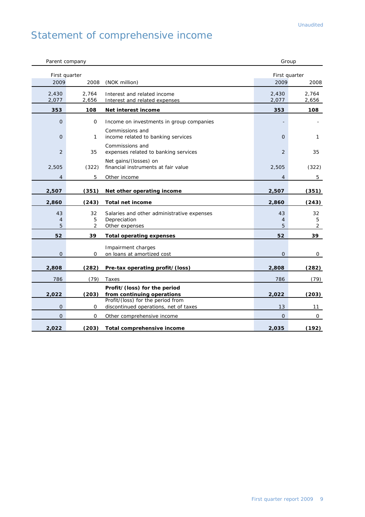# Statement of comprehensive income

| Parent company            |                |                                                                              | Group                 |                           |
|---------------------------|----------------|------------------------------------------------------------------------------|-----------------------|---------------------------|
| First quarter<br>2009     | 2008           | (NOK million)                                                                | First quarter<br>2009 | 2008                      |
| 2,430<br>2,077            | 2,764<br>2,656 | Interest and related income<br>Interest and related expenses                 | 2,430<br>2,077        | 2,764<br>2,656            |
| 353                       | 108            | Net interest income                                                          | 353                   | 108                       |
| 0                         | 0              | Income on investments in group companies                                     |                       |                           |
| $\overline{O}$            | 1              | Commissions and<br>income related to banking services                        | $\mathbf{O}$          | 1                         |
| 2                         | 35             | Commissions and<br>expenses related to banking services                      | 2                     | 35                        |
| 2,505                     | (322)          | Net gains/(losses) on<br>financial instruments at fair value                 | 2,505                 | (322)                     |
| $\overline{4}$            | 5              | Other income                                                                 | $\overline{4}$        | 5                         |
| 2,507                     | (351)          | Net other operating income                                                   | 2,507                 | (351)                     |
| 2,860                     | (243)          | <b>Total net income</b>                                                      | 2,860                 | (243)                     |
| 43<br>$\overline{4}$<br>5 | 32<br>5<br>2   | Salaries and other administrative expenses<br>Depreciation<br>Other expenses | 43<br>4<br>5          | 32<br>5<br>$\overline{2}$ |
| 52                        | 39             | <b>Total operating expenses</b>                                              | 52                    | 39                        |
| $\overline{O}$            | 0              | Impairment charges<br>on loans at amortized cost                             | $\Omega$              | 0                         |
| 2,808                     | (282)          | Pre-tax operating profit/(loss)                                              | 2,808                 | (282)                     |
| 786                       | (79)           | Taxes                                                                        | 786                   | (79)                      |
| 2,022                     | (203)          | Profit/(loss) for the period<br>from continuing operations                   | 2,022                 | (203)                     |
| $\mathbf{O}$              | 0              | Profit/(loss) for the period from<br>discontinued operations, net of taxes   | 13                    | 11                        |
| $\overline{O}$            | $\mathsf{O}$   | Other comprehensive income                                                   | $\mathbf 0$           | 0                         |
| 2,022                     | (203)          | Total comprehensive income                                                   | 2,035                 | (192)                     |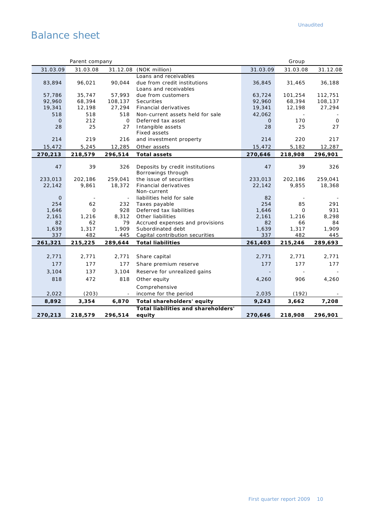# Balance sheet

|              | Parent company |            |                                           |              | Group                    |            |
|--------------|----------------|------------|-------------------------------------------|--------------|--------------------------|------------|
| 31.03.09     | 31.03.08       |            | 31.12.08 (NOK million)                    | 31.03.09     | 31.03.08                 | 31.12.08   |
|              |                |            | Loans and receivables                     |              |                          |            |
| 83,894       | 96,021         | 90.044     | due from credit institutions              | 36,845       | 31,465                   | 36,188     |
|              |                |            | Loans and receivables                     |              |                          |            |
| 57,786       | 35,747         | 57,993     | due from customers                        | 63,724       | 101,254                  | 112,751    |
| 92,960       | 68,394         | 108,137    | Securities                                | 92,960       | 68,394                   | 108,137    |
| 19,341       | 12,198         | 27,294     | Financial derivatives                     | 19,341       | 12,198                   | 27,294     |
| 518          | 518            | 518        | Non-current assets held for sale          | 42,062       |                          |            |
| $\mathbf{O}$ | 212            | 0          | Deferred tax asset                        | 0            | 170                      | 0          |
| 28           | 25             | 27         | Intangible assets<br>Fixed assets         | 28           | 25                       | 27         |
| 214          | 219            | 216        | and investment property                   | 214          | 220                      | 217        |
| 15,472       | 5,245          | 12,285     | Other assets                              | 15,472       | 5,182                    | 12,287     |
| 270,213      | 218,579        | 296,514    | <b>Total assets</b>                       | 270,646      | 218,908                  | 296,901    |
|              |                |            |                                           |              |                          |            |
| 47           | 39             | 326        | Deposits by credit institutions           | 47           | 39                       | 326        |
|              |                |            | Borrowings through                        |              |                          |            |
| 233,013      | 202,186        | 259,041    | the issue of securities                   | 233,013      | 202,186                  | 259,041    |
| 22,142       | 9,861          | 18,372     | <b>Financial derivatives</b>              | 22,142       | 9,855                    | 18,368     |
|              |                |            | Non-current                               |              |                          |            |
| $\mathbf 0$  | $\blacksquare$ |            | liabilities held for sale                 | 82           | $\overline{\phantom{a}}$ |            |
| 254<br>1,646 | 62<br>$\Omega$ | 232<br>928 | Taxes payable<br>Deferred tax liabilities | 254<br>1,646 | 85<br>$\Omega$           | 291<br>931 |
| 2,161        | 1,216          | 8,312      | Other liabilities                         | 2,161        | 1,216                    | 8,298      |
| 82           | 62             | 79         | Accrued expenses and provisions           | 82           | 66                       | 84         |
| 1,639        | 1,317          | 1,909      | Subordinated debt                         | 1,639        | 1,317                    | 1,909      |
| 337          | 482            | 445        | Capital contribution securities           | 337          | 482                      | 445        |
| 261,321      | 215,225        | 289,644    | <b>Total liabilities</b>                  | 261,403      | 215,246                  | 289,693    |
|              |                |            |                                           |              |                          |            |
| 2,771        | 2,771          | 2,771      | Share capital                             | 2,771        | 2,771                    | 2,771      |
| 177          | 177            | 177        | Share premium reserve                     | 177          | 177                      | 177        |
| 3,104        | 137            | 3,104      | Reserve for unrealized gains              |              |                          |            |
| 818          | 472            | 818        | Other equity                              | 4,260        | 906                      | 4,260      |
|              |                |            | Comprehensive                             |              |                          |            |
| 2,022        | (203)          |            | income for the period                     | 2,035        | (192)                    |            |
| 8,892        | 3,354          | 6,870      | Total shareholders' equity                | 9,243        | 3,662                    | 7,208      |
|              |                |            | Total liabilities and shareholders'       |              |                          |            |
| 270,213      | 218,579        | 296,514    | equity                                    | 270,646      | 218,908                  | 296,901    |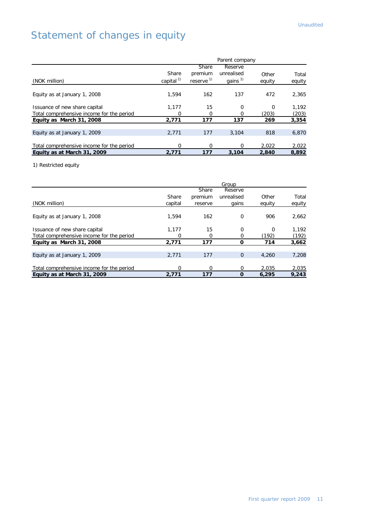# Statement of changes in equity

|                                           |              |                       | Parent company      |        |        |
|-------------------------------------------|--------------|-----------------------|---------------------|--------|--------|
|                                           |              | Share                 | Reserve             |        |        |
|                                           | Share        | premium               | unrealised          | Other  | Total  |
| (NOK million)                             | capital $1)$ | reserve <sup>1)</sup> | gains <sup>1)</sup> | equity | equity |
|                                           |              |                       |                     |        |        |
| Equity as at January 1, 2008              | 1.594        | 162                   | 137                 | 472    | 2,365  |
| Issuance of new share capital             | 1.177        | 15                    | $\Omega$            | O      | 1,192  |
| Total comprehensive income for the period | Ο            | O                     |                     | (203)  | (203)  |
| Equity as March 31, 2008                  | 2,771        | 177                   | 137                 | 269    | 3,354  |
|                                           |              |                       |                     |        |        |
| Equity as at January 1, 2009              | 2.771        | 177                   | 3.104               | 818    | 6,870  |
|                                           |              |                       |                     |        |        |
| Total comprehensive income for the period | ი            | Ω                     |                     | 2,022  | 2,022  |
| Equity as at March 31, 2009               | 2.771        | 177                   | 3,104               | 2,840  | 8,892  |

1) Restricted equity

|                                           |         |         | Group      |          |        |
|-------------------------------------------|---------|---------|------------|----------|--------|
|                                           |         | Share   | Reserve    |          |        |
|                                           | Share   | premium | unrealised | Other    | Total  |
| (NOK million)                             | capital | reserve | gains      | equity   | equity |
|                                           |         |         |            |          |        |
| Equity as at January 1, 2008              | 1.594   | 162     | $\Omega$   | 906      | 2,662  |
|                                           |         |         |            |          |        |
| Issuance of new share capital             | 1.177   | 15      | $\Omega$   | $\Omega$ | 1.192  |
| Total comprehensive income for the period | O       | O       |            | (192)    | (192)  |
| Equity as March 31, 2008                  | 2.771   | 177     | Ω          | 714      | 3,662  |
|                                           |         |         |            |          |        |
| Equity as at January 1, 2009              | 2.771   | 177     | $\Omega$   | 4,260    | 7,208  |
|                                           |         |         |            |          |        |
| Total comprehensive income for the period | ი       | O       | $\Omega$   | 2.035    | 2,035  |
| Equity as at March 31, 2009               | 2.771   | 177     | $\Omega$   | 6,295    | 9.243  |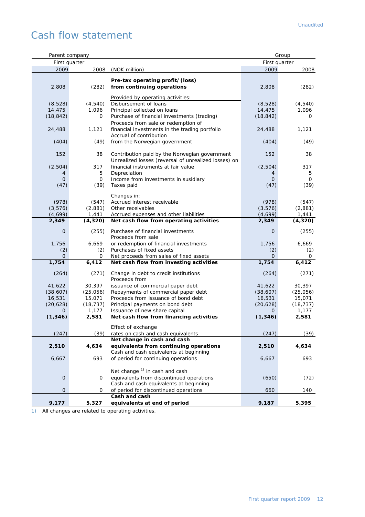# Cash flow statement

| Parent company |           |                                                                     |               | Group     |
|----------------|-----------|---------------------------------------------------------------------|---------------|-----------|
| First quarter  |           |                                                                     | First quarter |           |
| 2009           | 2008      | (NOK million)                                                       | 2009          | 2008      |
|                |           |                                                                     |               |           |
|                |           | Pre-tax operating profit/(loss)                                     |               |           |
| 2,808          | (282)     | from continuing operations                                          | 2,808         | (282)     |
|                |           |                                                                     |               |           |
|                |           | Provided by operating activities:                                   |               |           |
| (8,528)        | (4, 540)  | Disbursement of loans                                               | (8,528)       | (4, 540)  |
| 14,475         | 1,096     | Principal collected on loans                                        | 14,475        | 1,096     |
| (18, 842)      | 0         | Purchase of financial investments (trading)                         | (18, 842)     | O         |
|                |           | Proceeds from sale or redemption of                                 |               |           |
| 24,488         | 1,121     | financial investments in the trading portfolio                      | 24,488        | 1,121     |
|                |           | Accrual of contribution                                             |               |           |
| (404)          | (49)      | from the Norwegian government                                       | (404)         | (49)      |
|                |           |                                                                     |               |           |
| 152            | 38        | Contribution paid by the Norwegian government                       | 152           | 38        |
|                |           | Unrealized losses (reversal of unrealized losses) on                |               |           |
| (2,504)        | 317       | financial instruments at fair value                                 | (2,504)       | 317       |
|                | 5         | Depreciation                                                        | 4             | 5         |
| 4              |           |                                                                     |               |           |
| $\overline{O}$ | 0         | Income from investments in susidiary                                | 0             | 0         |
| (47)           | (39)      | Taxes paid                                                          | (47)          | (39)      |
|                |           | Changes in:                                                         |               |           |
| (978)          | (547)     | Accrued interest receivable                                         | (978)         | (547)     |
|                |           |                                                                     |               |           |
| (3, 576)       | (2,881)   | Other receivables                                                   | (3, 576)      | (2,881)   |
| (4,699)        | 1,441     | Accrued expenses and other liabilities                              | (4,699)       | 1,441     |
| 2,349          | (4, 320)  | Net cash flow from operating activities                             | 2,349         | (4, 320)  |
| $\mathbf 0$    | (255)     | Purchase of financial investments                                   | $\mathbf 0$   | (255)     |
|                |           | Proceeds from sale                                                  |               |           |
|                | 6,669     |                                                                     | 1,756         | 6,669     |
| 1,756          |           | or redemption of financial investments<br>Purchases of fixed assets |               |           |
| (2)            | (2)       |                                                                     | (2)           | (2)       |
| O              | 0         | Net proceeds from sales of fixed assets                             | $\Omega$      | $\circ$   |
| 1,754          | 6,412     | Net cash flow from investing activities                             | 1,754         | 6,412     |
| (264)          | (271)     | Change in debt to credit institutions                               | (264)         | (271)     |
|                |           | Proceeds from                                                       |               |           |
|                |           |                                                                     |               |           |
| 41,622         | 30,397    | issuance of commercial paper debt                                   | 41,622        | 30,397    |
| (38,607)       | (25,056)  | Repayments of commercial paper debt                                 | (38,607)      | (25,056)  |
| 16,531         | 15,071    | Proceeds from issuance of bond debt                                 | 16,531        | 15,071    |
| (20, 628)      | (18, 737) | Principal payments on bond debt                                     | (20, 628)     | (18, 737) |
| $\mathbf{O}$   | 1,177     | Issuance of new share capital                                       | $\mathbf{O}$  | 1,177     |
| (1, 346)       | 2,581     | Net cash flow from financing activities                             | (1, 346)      | 2,581     |
|                |           |                                                                     |               |           |
|                |           | Effect of exchange                                                  |               |           |
| (247)          | (39)      | rates on cash and cash equivalents                                  | (247)         | (39)      |
|                |           | Net change in cash and cash                                         |               |           |
| 2,510          | 4,634     | equivalents from continuing operations                              | 2,510         | 4,634     |
|                |           | Cash and cash equivalents at beginning                              |               |           |
| 6,667          | 693       | of period for continuing operations                                 | 6,667         | 693       |
|                |           |                                                                     |               |           |
|                |           | Net change $1$ in cash and cash                                     |               |           |
| $\mathbf 0$    | 0         | equivalents from discontinued operations                            | (650)         | (72)      |
|                |           | Cash and cash equivalents at beginning                              |               |           |
| $\mathbf 0$    | 0         | of period for discontinued operations                               | 660           | 140       |
|                |           | Cash and cash                                                       |               |           |
| 9,177          |           |                                                                     |               |           |
|                | 5,327     | equivalents at end of period                                        | 9,187         | 5,395     |

1) All changes are related to operating activities.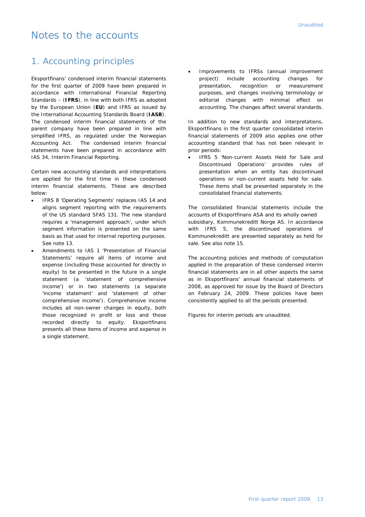## Notes to the accounts

#### 1. Accounting principles

Eksportfinans' condensed interim financial statements for the first quarter of 2009 have been prepared in accordance with International Financial Reporting Standards – (**IFRS**), in line with both IFRS as adopted by the European Union (**EU**) and IFRS as issued by the International Accounting Standards Board (**IASB**). The condensed interim financial statements of the parent company have been prepared in line with simplified IFRS, as regulated under the Norwegian Accounting Act. The condensed interim financial statements have been prepared in accordance with IAS 34, Interim Financial Reporting.

Certain new accounting standards and interpretations are applied for the first time in these condensed interim financial statements. These are described below:

- IFRS 8 'Operating Segments' replaces IAS 14 and aligns segment reporting with the requirements of the US standard SFAS 131. The new standard requires a 'management approach', under which segment information is presented on the same basis as that used for internal reporting purposes. See note 13.
- Amendments to IAS 1 'Presentation of Financial Statements' require all items of income and expense (including those accounted for directly in equity) to be presented in the future in a single statement (a 'statement of comprehensive income') or in two statements (a separate 'income statement' and 'statement of other comprehensive income'). Comprehensive income includes all non-owner changes in equity, both those recognized in profit or loss and those recorded directly to equity. Eksportfinans presents all these items of income and expense in a single statement.

 Improvements to IFRSs (annual improvement project) include accounting changes for presentation, recognition or measurement purposes, and changes involving terminology or editorial changes with minimal effect on accounting. The changes affect several standards.

In addition to new standards and interpretations, Eksportfinans in the first quarter consolidated interim financial statements of 2009 also applies one other accounting standard that has not been relevant in prior periods:

 IFRS 5 'Non-current Assets Held for Sale and Discontinued Operations' provides rules of presentation when an entity has discontinued operations or non-current assets held for sale. These items shall be presented separately in the consolidated financial statements.

The consolidated financial statements include the accounts of Eksportfinans ASA and its wholly owned subsidiary, Kommunekreditt Norge AS. In accordance with IFRS 5, the discontinued operations of Kommunekreditt are presented separately as held for sale. See also note 15.

The accounting policies and methods of computation applied in the preparation of these condensed interim financial statements are in all other aspects the same as in Eksportfinans' annual financial statements of 2008, as approved for issue by the Board of Directors on February 24, 2009. These policies have been consistently applied to all the periods presented.

Figures for interim periods are unaudited.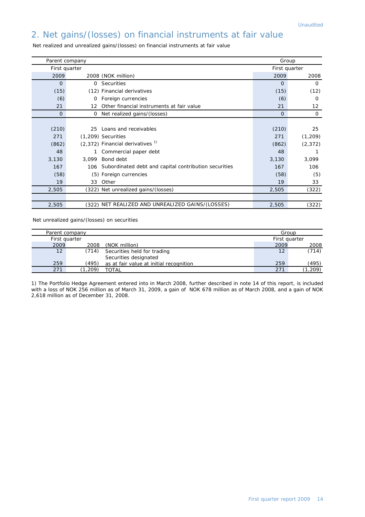## 2. Net gains/(losses) on financial instruments at fair value

| Parent company                                                      | Group         |                 |
|---------------------------------------------------------------------|---------------|-----------------|
| First quarter                                                       | First quarter |                 |
| 2009<br>2008 (NOK million)                                          | 2009          | 2008            |
| $\Omega$<br><b>Securities</b><br>0                                  | $\Omega$      | $\Omega$        |
| (15)<br>(12) Financial derivatives                                  | (15)          | (12)            |
| (6)<br>Foreign currencies<br>0                                      | (6)           | 0               |
| Other financial instruments at fair value<br>21<br>12 <sup>12</sup> | 21            | 12 <sup>°</sup> |
| $\mathbf{0}$<br>Net realized gains/(losses)<br>0                    | $\mathbf{0}$  | 0               |
|                                                                     |               |                 |
| (210)<br>Loans and receivables<br>25                                | (210)         | 25              |
| 271<br>$(1,209)$ Securities                                         | 271           | (1, 209)        |
| $(2,372)$ Financial derivatives <sup>1)</sup><br>(862)              | (862)         | (2, 372)        |
| 48<br>Commercial paper debt                                         | 48            |                 |
| Bond debt<br>3,130<br>3.099                                         | 3,130         | 3,099           |
| Subordinated debt and capital contribution securities<br>167<br>106 | 167           | 106             |
| (58)<br>(5) Foreign currencies                                      | (58)          | (5)             |
| 19<br>Other<br>33                                                   | 19            | 33              |
| (322) Net unrealized gains/(losses)<br>2,505                        | 2,505         | (322)           |
|                                                                     |               |                 |
| (322) NET REALIZED AND UNREALIZED GAINS/(LOSSES)<br>2,505           | 2,505         | (322)           |

Net realized and unrealized gains/(losses) on financial instruments at fair value

Net unrealized gains/(losses) on securities

|      | Parent company |                                         | Group         |          |
|------|----------------|-----------------------------------------|---------------|----------|
|      | First quarter  |                                         | First quarter |          |
| 2009 | 2008           | (NOK million)                           | 2009          | 2008     |
| 12   | (714)          | Securities held for trading             | 12            | (714)    |
|      |                | Securities designated                   |               |          |
| 259  | (495)          | as at fair value at initial recognition | 259           | (495)    |
| 271  | .209)          | TOTAL                                   | 271           | (1, 209) |

1) The Portfolio Hedge Agreement entered into in March 2008, further described in note 14 of this report, is included with a loss of NOK 256 million as of March 31, 2009, a gain of NOK 678 million as of March 2008, and a gain of NOK 2,618 million as of December 31, 2008.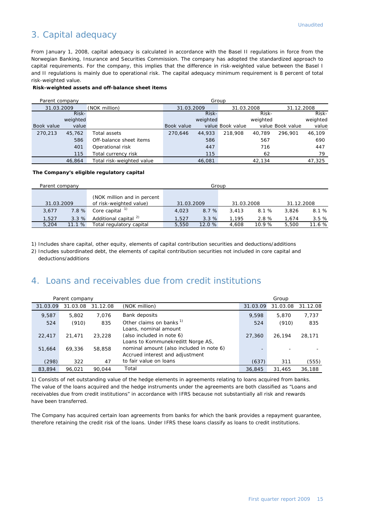#### 3. Capital adequacy

From January 1, 2008, capital adequacy is calculated in accordance with the Basel II regulations in force from the Norwegian Banking, Insurance and Securities Commission. The company has adopted the standardized approach to capital requirements. For the company, this implies that the difference in risk-weighted value between the Basel I and II regulations is mainly due to operational risk. The capital adequacy minimum requirement is 8 percent of total risk-weighted value.

#### **Risk-weighted assets and off-balance sheet items**

| Group<br>Parent company |        |                           |            |            |                  |            |                  |            |
|-------------------------|--------|---------------------------|------------|------------|------------------|------------|------------------|------------|
| 31.03.2009              |        | (NOK million)             |            | 31.03.2009 |                  | 31.03.2008 |                  | 31.12.2008 |
|                         | Risk-  |                           |            | Risk-      |                  | Risk-      |                  | Risk-      |
| weighted                |        |                           |            | weighted   |                  | weighted   |                  | weighted   |
| Book value              | value  |                           | Book value |            | value Book value |            | value Book value | value      |
| 270,213                 | 45,762 | Total assets              | 270.646    | 44,933     | 218,908          | 40.789     | 296.901          | 46,109     |
|                         | 586    | Off-balance sheet items   |            | 586        |                  | 567        |                  | 690        |
|                         | 401    | Operational risk          |            | 447        |                  | 716        |                  | 447        |
|                         | 115    | Total currency risk       |            | 115        |                  | 62         |                  | 79         |
|                         | 46.864 | Total risk-weighted value |            | 46.081     |                  | 42,134     |                  | 47.325     |

#### **The Company's eligible regulatory capital**

| Parent company |       |                                                        |            | Group  |            |       |            |        |
|----------------|-------|--------------------------------------------------------|------------|--------|------------|-------|------------|--------|
| 31.03.2009     |       | (NOK million and in percent<br>of risk-weighted value) | 31.03.2009 |        | 31.03.2008 |       | 31.12.2008 |        |
| 3,677          | 7.8%  | Core capital $1$                                       | 4,023      | 8.7%   | 3.413      | 8.1 % | 3.826      | 8.1 %  |
| 1.527          | 3.3%  | Additional capital <sup>2)</sup>                       | 1.527      | 3.3%   | .195       | 2.8%  | 1.674      | 3.5%   |
| 5,204          | 11.1% | Total regulatory capital                               | 5,550      | 12.0 % | 4,608      | 10.9% | 5,500      | 11.6 % |

1) Includes share capital, other equity, elements of capital contribution securities and deductions/additions

2) Includes subordinated debt, the elements of capital contribution securities not included in core capital and deductions/additions

#### 4. Loans and receivables due from credit institutions

|          | Parent company |          |                                                                             | Group    |          |          |
|----------|----------------|----------|-----------------------------------------------------------------------------|----------|----------|----------|
| 31.03.09 | 31.03.08       | 31.12.08 | (NOK million)                                                               | 31.03.09 | 31.03.08 | 31.12.08 |
| 9,587    | 5,802          | 7,076    | Bank deposits                                                               | 9,598    | 5,870    | 7,737    |
| 524      | (910)          | 835      | Other claims on banks <sup>1)</sup><br>Loans, nominal amount                | 524      | (910)    | 835      |
| 22,417   | 21.471         | 23,228   | (also included in note 6)<br>Loans to Kommunekreditt Norge AS,              | 27,360   | 26,194   | 28,171   |
| 51,664   | 69,336         | 58,858   | nominal amount (also included in note 6)<br>Accrued interest and adjustment |          |          |          |
| (298)    | 322            | 47       | to fair value on loans                                                      | (637)    | 311      | (555)    |
| 83,894   | 96.021         | 90.044   | Total                                                                       | 36,845   | 31,465   | 36,188   |

1) Consists of net outstanding value of the hedge elements in agreements relating to loans acquired from banks. The value of the loans acquired and the hedge instruments under the agreements are both classified as "Loans and receivables due from credit institutions" in accordance with IFRS because not substantially all risk and rewards have been transferred.

The Company has acquired certain loan agreements from banks for which the bank provides a repayment guarantee, therefore retaining the credit risk of the loans. Under IFRS these loans classify as loans to credit institutions.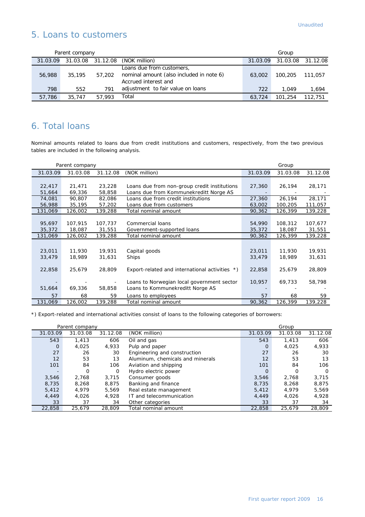#### 5. Loans to customers

| Parent company |        |        |                                                                                               | Group    |         |                   |
|----------------|--------|--------|-----------------------------------------------------------------------------------------------|----------|---------|-------------------|
| 31.03.09       |        |        | 31.03.08 31.12.08 (NOK million)                                                               | 31.03.09 |         | 31.03.08 31.12.08 |
| 56,988         | 35,195 | 57,202 | Loans due from customers,<br>nominal amount (also included in note 6)<br>Accrued interest and | 63,002   | 100,205 | 111,057           |
| 798            | 552    | 791    | adjustment to fair value on loans                                                             | 722      | 1.049   | 1,694             |
| 57,786         | 35,747 | 57.993 | Total                                                                                         | 63.724   | 101.254 | 112,751           |

## 6. Total loans

Nominal amounts related to loans due from credit institutions and customers, respectively, from the two previous tables are included in the following analysis.

|          | Parent company |          |                                                |          | Group    |          |
|----------|----------------|----------|------------------------------------------------|----------|----------|----------|
| 31.03.09 | 31.03.08       | 31.12.08 | (NOK million)                                  | 31.03.09 | 31.03.08 | 31.12.08 |
|          |                |          |                                                |          |          |          |
| 22,417   | 21,471         | 23,228   | Loans due from non-group credit institutions   | 27,360   | 26,194   | 28,171   |
| 51,664   | 69,336         | 58,858   | Loans due from Kommunekreditt Norge AS         |          |          |          |
| 74,081   | 90,807         | 82,086   | Loans due from credit institutions             | 27,360   | 26,194   | 28,171   |
| 56,988   | 35,195         | 57,202   | Loans due from customers                       | 63,002   | 100,205  | 111,057  |
| 131,069  | 126,002        | 139,288  | Total nominal amount                           | 90,362   | 126,399  | 139,228  |
|          |                |          |                                                |          |          |          |
| 95,697   | 107,915        | 107,737  | Commercial loans                               | 54,990   | 108,312  | 107,677  |
| 35,372   | 18,087         | 31,551   | Government-supported loans                     | 35,372   | 18,087   | 31,551   |
| 131,069  | 126,002        | 139,288  | Total nominal amount                           | 90,362   | 126,399  | 139,228  |
|          |                |          |                                                |          |          |          |
| 23,011   | 11,930         | 19,931   | Capital goods                                  | 23,011   | 11,930   | 19,931   |
| 33,479   | 18,989         | 31,631   | <b>Ships</b>                                   | 33,479   | 18,989   | 31,631   |
|          |                |          |                                                |          |          |          |
| 22,858   | 25,679         | 28,809   | Export-related and international activities *) | 22,858   | 25,679   | 28,809   |
|          |                |          |                                                |          |          |          |
|          |                |          | Loans to Norwegian local government sector     | 10,957   | 69,733   | 58,798   |
| 51,664   | 69,336         | 58,858   | Loans to Kommunekreditt Norge AS               |          |          |          |
| 57       | 68             | 59       | Loans to employees                             | 57       | 68       | 59       |
| 131,069  | 126,002        | 139,288  | Total nominal amount                           | 90,362   | 126,399  | 139,228  |

\*) Export-related and international activities consist of loans to the following categories of borrowers:

|                          | Parent company |          |                                  | Group    |          |          |
|--------------------------|----------------|----------|----------------------------------|----------|----------|----------|
| 31.03.09                 | 31.03.08       | 31.12.08 | (NOK million)                    | 31.03.09 | 31.03.08 | 31.12.08 |
| 543                      | 1.413          | 606      | Oil and gas                      | 543      | 1.413    | 606      |
| O                        | 4.025          | 4,933    | Pulp and paper                   | 0        | 4,025    | 4,933    |
| 27                       | 26             | 30       | Engineering and construction     | 27       | 26       | 30       |
| 12                       | 53             | 13       | Aluminum, chemicals and minerals | 12       | 53       | 13       |
| 101                      | 84             | 106      | Aviation and shipping            | 101      | 84       | 106      |
| $\overline{\phantom{0}}$ | O              | 0        | Hydro electric power             | $\Omega$ | O        | O        |
| 3,546                    | 2,768          | 3.715    | Consumer goods                   | 3,546    | 2,768    | 3,715    |
| 8,735                    | 8,268          | 8,875    | Banking and finance              | 8,735    | 8,268    | 8,875    |
| 5,412                    | 4.979          | 5,569    | Real estate management           | 5,412    | 4,979    | 5,569    |
| 4,449                    | 4.026          | 4,928    | IT and telecommunication         | 4,449    | 4,026    | 4,928    |
| 33                       | 37             | 34       | Other categories                 | 33       | 37       | 34       |
| 22,858                   | 25,679         | 28,809   | Total nominal amount             | 22,858   | 25,679   | 28,809   |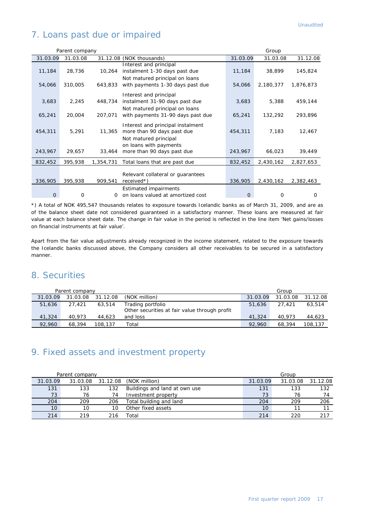## 7. Loans past due or impaired

|                | Parent company |           |                                                                                                                    |                | Group     |           |
|----------------|----------------|-----------|--------------------------------------------------------------------------------------------------------------------|----------------|-----------|-----------|
| 31.03.09       | 31.03.08       |           | 31.12.08 (NOK thousands)                                                                                           | 31.03.09       | 31.03.08  | 31.12.08  |
| 11,184         | 28,736         | 10,264    | Interest and principal<br>instalment 1-30 days past due<br>Not matured principal on loans                          | 11,184         | 38,899    | 145,824   |
| 54,066         | 310,005        | 643,833   | with payments 1-30 days past due                                                                                   | 54,066         | 2,180,377 | 1,876,873 |
| 3,683          | 2,245          | 448,734   | Interest and principal<br>instalment 31-90 days past due<br>Not matured principal on loans                         | 3,683          | 5,388     | 459,144   |
| 65,241         | 20,004         | 207.071   | with payments 31-90 days past due                                                                                  | 65,241         | 132,292   | 293,896   |
| 454,311        | 5,291          | 11,365    | Interest and principal instalment<br>more than 90 days past due<br>Not matured principal<br>on loans with payments | 454,311        | 7,183     | 12,467    |
| 243,967        | 29,657         | 33,464    | more than 90 days past due                                                                                         | 243,967        | 66,023    | 39,449    |
| 832,452        | 395,938        | 1,354,731 | Total loans that are past due                                                                                      | 832,452        | 2,430,162 | 2,827,653 |
| 336,905        | 395,938        | 909,541   | Relevant collateral or quarantees<br>$received*$ )                                                                 | 336,905        | 2,430,162 | 2,382,463 |
| $\overline{0}$ | 0              | $\Omega$  | <b>Estimated impairments</b><br>on loans valued at amortized cost                                                  | $\overline{0}$ | O         | $\Omega$  |

\*) A total of NOK 495,547 thousands relates to exposure towards Icelandic banks as of March 31, 2009, and are as of the balance sheet date not considered guaranteed in a satisfactory manner. These loans are measured at fair value at each balance sheet date. The change in fair value in the period is reflected in the line item 'Net gains/losses on financial instruments at fair value'.

Apart from the fair value adjustments already recognized in the income statement, related to the exposure towards the Icelandic banks discussed above, the Company considers all other receivables to be secured in a satisfactory manner.

#### 8. Securities

|          | Parent company |          |                                               | Group    |          |          |
|----------|----------------|----------|-----------------------------------------------|----------|----------|----------|
| 31.03.09 | 31.03.08       | 31.12.08 | (NOK million)                                 | 31.03.09 | 31.03.08 | 31.12.08 |
| 51,636   | 27.421         | 63,514   | Trading portfolio                             | 51,636   | 27.421   | 63,514   |
|          |                |          | Other securities at fair value through profit |          |          |          |
| 41,324   | 40.973         | 44,623   | and loss                                      | 41.324   | 40.973   | 44,623   |
| 92.960   | 68,394         | 108,137  | Total                                         | 92.960   | 68,394   | 108,137  |

#### 9. Fixed assets and investment property

| Parent company  |          |          |                               | Group    |          |          |
|-----------------|----------|----------|-------------------------------|----------|----------|----------|
| 31.03.09        | 31.03.08 | 31.12.08 | (NOK million)                 | 31.03.09 | 31.03.08 | 31.12.08 |
| 131             | 133      | 132      | Buildings and land at own use | 131      | 133      | 132      |
| 73              | 76       | 74       | Investment property           | 73       | 76       | 74       |
| 204             | 209      | 206      | Total building and land       | 204      | 209      | 206      |
| 10 <sup>°</sup> |          | 10       | Other fixed assets            | 10       |          |          |
| 214             | 219      | 216      | Total                         | 214      | 220      |          |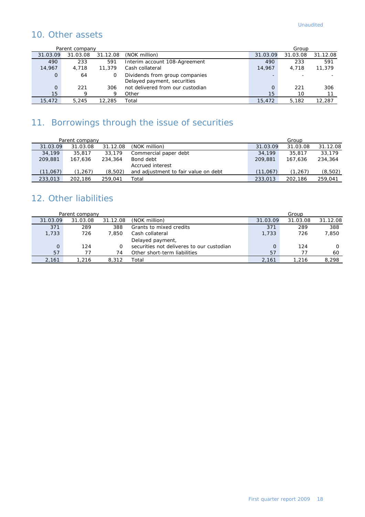## 10. Other assets

|                | Parent company |          |                                                               | Group    |          |          |
|----------------|----------------|----------|---------------------------------------------------------------|----------|----------|----------|
| 31.03.09       | 31.03.08       | 31.12.08 | (NOK million)                                                 | 31.03.09 | 31.03.08 | 31.12.08 |
| 490            | 233            | 591      | Interim account 108-Agreement                                 | 490      | 233      | 591      |
| 14,967         | 4,718          | 11,379   | Cash collateral                                               | 14,967   | 4.718    | 11,379   |
| $\overline{0}$ | 64             | O        | Dividends from group companies<br>Delayed payment, securities |          |          |          |
| $\overline{O}$ | 221            | 306      | not delivered from our custodian                              |          | 221      | 306      |
| 15             | Q              | 9        | Other                                                         | 15       | 10       |          |
| 15,472         | 5.245          | 12,285   | Total                                                         | 15,472   | 5,182    | 12,287   |

## 11. Borrowings through the issue of securities

|          | Parent company |          |                                      |          | Group    |          |
|----------|----------------|----------|--------------------------------------|----------|----------|----------|
| 31.03.09 | 31.03.08       | 31.12.08 | (NOK million)                        | 31.03.09 | 31.03.08 | 31.12.08 |
| 34,199   | 35,817         | 33,179   | Commercial paper debt                | 34,199   | 35,817   | 33,179   |
| 209,881  | 167.636        | 234,364  | Bond debt                            | 209,881  | 167.636  | 234,364  |
|          |                |          | Accrued interest                     |          |          |          |
| (11,067) | (1,267)        | (8,502)  | and adjustment to fair value on debt | (11,067) | (1,267)  | (8, 502) |
| 233,013  | 202.186        | 259,041  | Гоtal                                | 233,013  | 202.186  | 259,041  |

## 12. Other liabilities

|          | Parent company |          |                                           |          | Group    |          |
|----------|----------------|----------|-------------------------------------------|----------|----------|----------|
| 31.03.09 | 31.03.08       | 31.12.08 | (NOK million)                             | 31.03.09 | 31.03.08 | 31.12.08 |
| 371      | 289            | 388      | Grants to mixed credits                   | 371      | 289      | 388      |
| 1,733    | 726            | 7.850    | Cash collateral                           | 1,733    | 726      | 7,850    |
|          |                |          | Delayed payment,                          |          |          |          |
| $\Omega$ | 124            |          | securities not deliveres to our custodian | $\Omega$ | 124      |          |
| 57       |                | 74       | Other short-term liabilities              | 57       |          | 60       |
| 2,161    | 1.216          | 8,312    | Total                                     | 2,161    | 1.216    | 8,298    |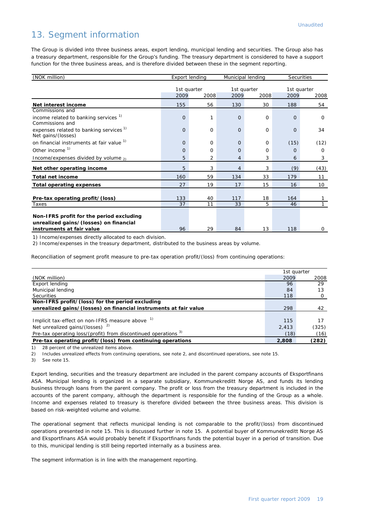#### 13. Segment information

The Group is divided into three business areas, export lending, municipal lending and securities. The Group also has a treasury department, responsible for the Group's funding. The treasury department is considered to have a support function for the three business areas, and is therefore divided between these in the segment reporting.

| (NOK million)                                                                      |          | <b>Export lending</b> |                | Municipal lending           | Securities |                             |  |
|------------------------------------------------------------------------------------|----------|-----------------------|----------------|-----------------------------|------------|-----------------------------|--|
|                                                                                    | 2009     | 1st quarter<br>2008   |                | 1st quarter<br>2009<br>2008 |            | 1st quarter<br>2009<br>2008 |  |
| Net interest income                                                                | 155      | 56                    | 130            | 30                          | 188        | 54                          |  |
| Commissions and                                                                    |          |                       |                |                             |            |                             |  |
| income related to banking services <sup>1)</sup><br>Commissions and                | $\Omega$ | 1                     | $\Omega$       | $\Omega$                    | $\Omega$   | $\Omega$                    |  |
| expenses related to banking services <sup>1)</sup><br>Net gains/(losses)           | $\Omega$ | $\Omega$              | $\Omega$       | $\Omega$                    | $\Omega$   | 34                          |  |
| on financial instruments at fair value 1)                                          | $\Omega$ | $\Omega$              | $\Omega$       | $\Omega$                    | (15)       | (12)                        |  |
| Other income <sup>1)</sup>                                                         | $\Omega$ | $\Omega$              | $\circ$        | $\Omega$                    | $\Omega$   | 0                           |  |
| Income/expenses divided by volume $_{21}$                                          | 5        | 2                     | 4              | 3                           | 6          | 3                           |  |
| Net other operating income                                                         | 5        | 3                     | $\overline{4}$ | 3                           | (9)        | (43)                        |  |
| <b>Total net income</b>                                                            | 160      | 59                    | 134            | 33                          | 179        | 11                          |  |
| <b>Total operating expenses</b>                                                    | 27       | 19                    | 17             | 15                          | 16         | 10                          |  |
|                                                                                    |          |                       |                |                             |            |                             |  |
| Pre-tax operating profit/(loss)                                                    | 133      | 40                    | 117            | 18                          | 164        |                             |  |
| Taxes                                                                              | 37       | 11                    | 33             | 5                           | 46         |                             |  |
| Non-IFRS profit for the period excluding<br>unrealized gains/(losses) on financial |          |                       |                |                             |            |                             |  |
| instruments at fair value                                                          | 96       | 29                    | 84             | 13                          | 118        | $\mathbf 0$                 |  |

1) Income/expenses directly allocated to each division.

2) Income/expenses in the treasury department, distributed to the business areas by volume.

Reconciliation of segment profit measure to pre-tax operation profit/(loss) from continuing operations:

|                                                                  | 1st quarter |       |
|------------------------------------------------------------------|-------------|-------|
| (NOK million)                                                    | 2009        | 2008  |
| Export lending                                                   | 96          | 29    |
| Municipal lending                                                | 84          | 13    |
| <b>Securities</b>                                                | 118         |       |
| Non-IFRS profit/(loss) for the period excluding                  |             |       |
| unrealized gains/(losses) on financial instruments at fair value | 298         | 42    |
|                                                                  |             |       |
| Implicit tax-effect on non-IFRS measure above <sup>1)</sup>      | 115         |       |
| Net unrealized gains/(losses) $2$ )                              | 2,413       | (325) |
| Pre-tax operating loss/(profit) from discontinued operations 3)  | (18)        | (16)  |
| Pre-tax operating profit/(loss) from continuing operations       | 2.808       | (282) |

1) 28 percent of the unrealized items above.

2) Includes unrealized effects from continuing operations, see note 2, and discontinued operations, see note 15.

3) See note 15.

Export lending, securities and the treasury department are included in the parent company accounts of Eksportfinans ASA. Municipal lending is organized in a separate subsidiary, Kommunekreditt Norge AS, and funds its lending business through loans from the parent company. The profit or loss from the treasury department is included in the accounts of the parent company, although the department is responsible for the funding of the Group as a whole. Income and expenses related to treasury is therefore divided between the three business areas. This division is based on risk-weighted volume and volume.

The operational segment that reflects municipal lending is not comparable to the profit/(loss) from discontinued operations presented in note 15. This is discussed further in note 15. A potential buyer of Kommunekreditt Norge AS and Eksportfinans ASA would probably benefit if Eksportfinans funds the potential buyer in a period of transition. Due to this, municipal lending is still being reported internally as a business area.

The segment information is in line with the management reporting.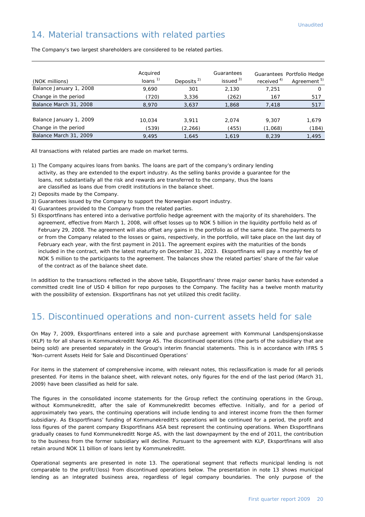#### 14. Material transactions with related parties

| (NOK millions)                                  | Acquired<br>loans $1$ | Deposits <sup>2)</sup> | Guarantees<br>issued $3$ ) | received <sup>4)</sup> | Guarantees Portfolio Hedge<br>Agreement <sup>5)</sup> |
|-------------------------------------------------|-----------------------|------------------------|----------------------------|------------------------|-------------------------------------------------------|
| Balance January 1, 2008                         | 9,690                 | 301                    | 2,130                      | 7,251                  | O                                                     |
| Change in the period                            | (720)                 | 3,336                  | (262)                      | 167                    | 517                                                   |
| Balance March 31, 2008                          | 8,970                 | 3,637                  | 1,868                      | 7,418                  | 517                                                   |
| Balance January 1, 2009<br>Change in the period | 10,034<br>(539)       | 3.911<br>(2, 266)      | 2.074<br>(455)             | 9.307<br>(1,068)       | 1,679<br>(184)                                        |
| Balance March 31, 2009                          | 9,495                 | 1,645                  | 1,619                      | 8,239                  | 1,495                                                 |

The Company's two largest shareholders are considered to be related parties.

All transactions with related parties are made on market terms.

- 1) The Company acquires loans from banks. The loans are part of the company's ordinary lending activity, as they are extended to the export industry. As the selling banks provide a guarantee for the loans, not substantially all the risk and rewards are transferred to the company, thus the loans are classified as loans due from credit institutions in the balance sheet.
- 2) Deposits made by the Company.
- 3) Guarantees issued by the Company to support the Norwegian export industry.
- 4) Guarantees provided to the Company from the related parties.
- 5) Eksportfinans has entered into a derivative portfolio hedge agreement with the majority of its shareholders. The agreement, effective from March 1, 2008, will offset losses up to NOK 5 billion in the liquidity portfolio held as of February 29, 2008. The agreement will also offset any gains in the portfolio as of the same date. The payments to or from the Company related to the losses or gains, respectively, in the portfolio, will take place on the last day of February each year, with the first payment in 2011. The agreement expires with the maturities of the bonds included in the contract, with the latest maturity on December 31, 2023. Eksportfinans will pay a monthly fee of NOK 5 million to the participants to the agreement. The balances show the related parties' share of the fair value of the contract as of the balance sheet date.

In addition to the transactions reflected in the above table, Eksportfinans' three major owner banks have extended a committed credit line of USD 4 billion for repo purposes to the Company. The facility has a twelve month maturity with the possibility of extension. Eksportfinans has not yet utilized this credit facility.

#### 15. Discontinued operations and non-current assets held for sale

On May 7, 2009, Eksportfinans entered into a sale and purchase agreement with Kommunal Landspensjonskasse (KLP) to for all shares in Kommunekreditt Norge AS. The discontinued operations (the parts of the subsidiary that are being sold) are presented separately in the Group's interim financial statements. This is in accordance with IFRS 5 'Non-current Assets Held for Sale and Discontinued Operations'

For items in the statement of comprehensive income, with relevant notes, this reclassification is made for all periods presented. For items in the balance sheet, with relevant notes, only figures for the end of the last period (March 31, 2009) have been classified as held for sale.

The figures in the consolidated income statements for the Group reflect the continuing operations in the Group, without Kommunekreditt, after the sale of Kommunekreditt becomes effective. Initially, and for a period of approximately two years, the continuing operations will include lending to and interest income from the then former subsidiary. As Eksportfinans' funding of Kommunekreditt's operations will be continued for a period, the profit and loss figures of the parent company Eksportfinans ASA best represent the continuing operations. When Eksportfinans gradually ceases to fund Kommunekreditt Norge AS, with the last downpayment by the end of 2011, the contribution to the business from the former subsidiary will decline. Pursuant to the agreement with KLP, Eksportfinans will also retain around NOK 11 billion of loans lent by Kommunekreditt.

Operational segments are presented in note 13. The operational segment that reflects municipal lending is not comparable to the profit/(loss) from discontinued operations below. The presentation in note 13 shows municipal lending as an integrated business area, regardless of legal company boundaries. The only purpose of the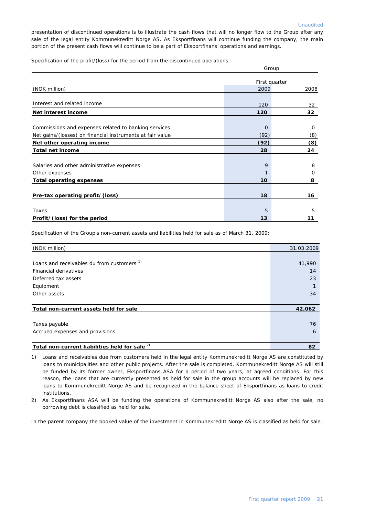presentation of discontinued operations is to illustrate the cash flows that will no longer flow to the Group after any sale of the legal entity Kommunekreditt Norge AS. As Eksportfinans will continue funding the company, the main portion of the present cash flows will continue to be a part of Eksportfinans' operations and earnings.

Specification of the profit/(loss) for the period from the discontinued operations:

|                                                                                         | Group         |            |  |  |
|-----------------------------------------------------------------------------------------|---------------|------------|--|--|
|                                                                                         | First quarter |            |  |  |
| (NOK million)                                                                           | 2009          | 2008       |  |  |
| Interest and related income                                                             | 120           | 32         |  |  |
| Net interest income                                                                     | 120           | 32         |  |  |
| Commissions and expenses related to banking services                                    | $\mathbf 0$   | $\Omega$   |  |  |
| Net gains/(losses) on financial instruments at fair value<br>Net other operating income | (92)<br>(92)  | (8)<br>(8) |  |  |
| <b>Total net income</b>                                                                 | 28            | 24         |  |  |
| Salaries and other administrative expenses<br>Other expenses                            | 9             | 8<br>0     |  |  |
| <b>Total operating expenses</b>                                                         | 10            | 8          |  |  |
| Pre-tax operating profit/(loss)                                                         | 18            | 16         |  |  |
| Taxes                                                                                   | 5             | 5          |  |  |
| Profit/(loss) for the period                                                            | 13            | 11         |  |  |

Specification of the Group's non-current assets and liabilities held for sale as of March 31, 2009:

| (NOK million)                                         | 31.03.2009 |
|-------------------------------------------------------|------------|
|                                                       |            |
| Loans and receivables du from customers <sup>1)</sup> | 41,990     |
| Financial derivatives                                 | 14         |
| Deferred tax assets                                   | 23         |
| Equipment                                             |            |
| Other assets                                          | 34         |
|                                                       |            |
| Total non-current assets held for sale                | 42,062     |
|                                                       |            |
| Taxes payable                                         | 76         |
| Accrued expenses and provisions                       | 6          |
|                                                       |            |
| Total non-current liabilities held for sale 2)        | 82         |

1) Loans and receivables due from customers held in the legal entity Kommunekreditt Norge AS are constituted by loans to municipalities and other public projects. After the sale is completed, Kommunekreditt Norge AS will still be funded by its former owner, Eksportfinans ASA for a period of two years, at agreed conditions. For this reason, the loans that are currently presented as held for sale in the group accounts will be replaced by new loans to Kommunekreditt Norge AS and be recognized in the balance sheet of Eksportfinans as loans to credit institutions.

2) As Eksportfinans ASA will be funding the operations of Kommunekreditt Norge AS also after the sale, no borrowing debt is classified as held for sale.

In the parent company the booked value of the investment in Kommunekreditt Norge AS is classified as held for sale.